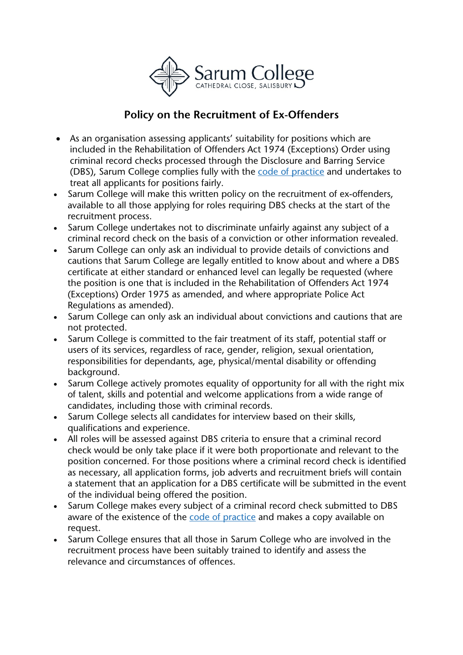

## **Policy on the Recruitment of Ex-Offenders**

- As an organisation assessing applicants' suitability for positions which are included in the Rehabilitation of Offenders Act 1974 (Exceptions) Order using criminal record checks processed through the Disclosure and Barring Service (DBS), Sarum College complies fully with the code of [practice](https://www.gov.uk/government/publications/dbs-code-of-practice) and undertakes to treat all applicants for positions fairly.
- Sarum College will make this written policy on the recruitment of ex-offenders, available to all those applying for roles requiring DBS checks at the start of the recruitment process.
- Sarum College undertakes not to discriminate unfairly against any subject of a criminal record check on the basis of a conviction or other information revealed.
- Sarum College can only ask an individual to provide details of convictions and cautions that Sarum College are legally entitled to know about and where a DBS certificate at either standard or enhanced level can legally be requested (where the position is one that is included in the Rehabilitation of Offenders Act 1974 (Exceptions) Order 1975 as amended, and where appropriate Police Act Regulations as amended).
- Sarum College can only ask an individual about convictions and cautions that are not protected.
- Sarum College is committed to the fair treatment of its staff, potential staff or users of its services, regardless of race, gender, religion, sexual orientation, responsibilities for dependants, age, physical/mental disability or offending background.
- Sarum College actively promotes equality of opportunity for all with the right mix of talent, skills and potential and welcome applications from a wide range of candidates, including those with criminal records.
- Sarum College selects all candidates for interview based on their skills, qualifications and experience.
- All roles will be assessed against DBS criteria to ensure that a criminal record check would be only take place if it were both proportionate and relevant to the position concerned. For those positions where a criminal record check is identified as necessary, all application forms, job adverts and recruitment briefs will contain a statement that an application for a DBS certificate will be submitted in the event of the individual being offered the position.
- Sarum College makes every subject of a criminal record check submitted to DBS aware of the existence of the code of [practice](https://www.gov.uk/government/publications/dbs-code-of-practice) and makes a copy available on request.
- Sarum College ensures that all those in Sarum College who are involved in the recruitment process have been suitably trained to identify and assess the relevance and circumstances of offences.